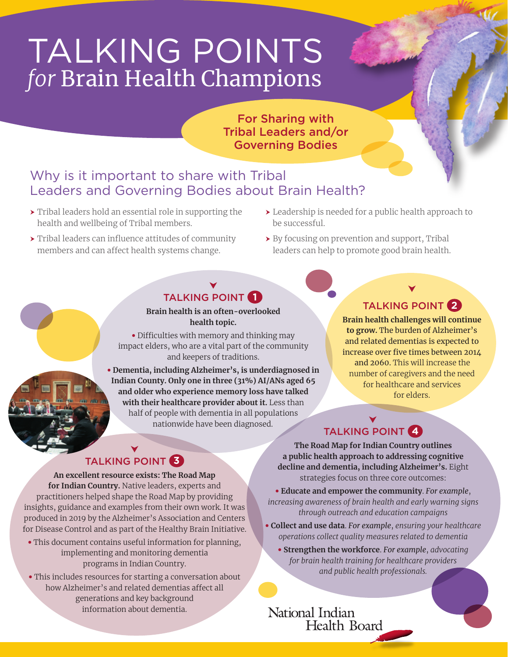# TALKING POINTS *for* Brain Health Champions

For Sharing with Tribal Leaders and/or Governing Bodies

### Why is it important to share with Tribal Leaders and Governing Bodies about Brain Health?

- $\rightarrow$  Tribal leaders hold an essential role in supporting the health and wellbeing of Tribal members.
- $\rightarrow$  Tribal leaders can influence attitudes of community members and can affect health systems change.
- $\blacktriangleright$  Leadership is needed for a public health approach to be successful.
- $\rightarrow$  By focusing on prevention and support, Tribal leaders can help to promote good brain health.

### TALKING POINT **1**

**Brain health is an often-overlooked health topic.**

• Difficulties with memory and thinking may impact elders, who are a vital part of the community and keepers of traditions.

• **Dementia, including Alzheimer's, is underdiagnosed in Indian County. Only one in three (31%) AI/ANs aged 65 and older who experience memory loss have talked with their healthcare provider about it.** Less than half of people with dementia in all populations nationwide have been diagnosed.

### TALKING POINT **2**

**Brain health challenges will continue to grow.** The burden of Alzheimer's and related dementias is expected to increase over five times between 2014 and 2060. This will increase the number of caregivers and the need for healthcare and services for elders.

# TALKING POINT **4**

**The Road Map for Indian Country outlines a public health approach to addressing cognitive decline and dementia, including Alzheimer's.** Eight strategies focus on three core outcomes:

• **Educate and empower the community**. *For example*, *increasing awareness of brain health and early warning signs through outreach and education campaigns*

- **Collect and use data**. *For example*, *ensuring your healthcare operations collect quality measures related to dementia*
	- **Strengthen the workforce**. *For example*, *advocating for brain health training for healthcare providers and public health professionals.*

National Indian

Health Board

#### TALKING POINT **3**

**An excellent resource exists: The Road Map for Indian Country.** Native leaders, experts and practitioners helped shape the Road Map by providing insights, guidance and examples from their own work. It was produced in 2019 by the Alzheimer's Association and Centers for Disease Control and as part of the Healthy Brain Initiative.

- This document contains useful information for planning, implementing and monitoring dementia programs in Indian Country.
- This includes resources for starting a conversation about how Alzheimer's and related dementias affect all generations and key background information about dementia.